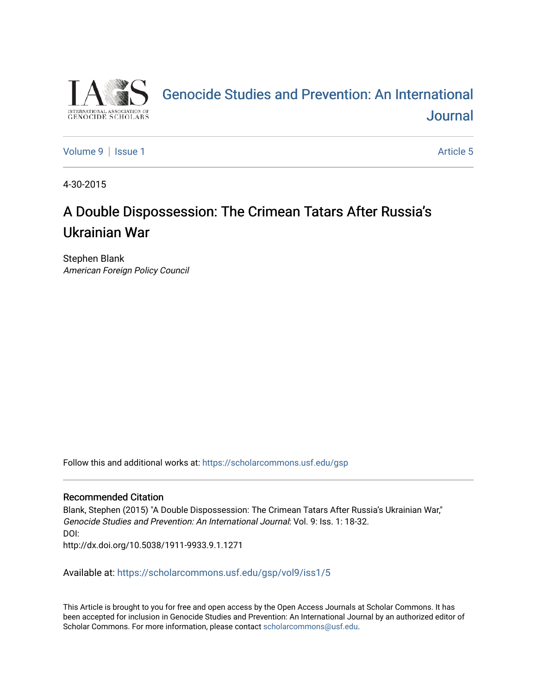

# [Genocide Studies and Prevention: An International](https://scholarcommons.usf.edu/gsp)  [Journal](https://scholarcommons.usf.edu/gsp)

[Volume 9](https://scholarcommons.usf.edu/gsp/vol9) | [Issue 1](https://scholarcommons.usf.edu/gsp/vol9/iss1) Article 5

4-30-2015

# A Double Dispossession: The Crimean Tatars After Russia's Ukrainian War

Stephen Blank American Foreign Policy Council

Follow this and additional works at: [https://scholarcommons.usf.edu/gsp](https://scholarcommons.usf.edu/gsp?utm_source=scholarcommons.usf.edu%2Fgsp%2Fvol9%2Fiss1%2F5&utm_medium=PDF&utm_campaign=PDFCoverPages)

### Recommended Citation

Blank, Stephen (2015) "A Double Dispossession: The Crimean Tatars After Russia's Ukrainian War," Genocide Studies and Prevention: An International Journal: Vol. 9: Iss. 1: 18-32. DOI:

http://dx.doi.org/10.5038/1911-9933.9.1.1271

Available at: [https://scholarcommons.usf.edu/gsp/vol9/iss1/5](https://scholarcommons.usf.edu/gsp/vol9/iss1/5?utm_source=scholarcommons.usf.edu%2Fgsp%2Fvol9%2Fiss1%2F5&utm_medium=PDF&utm_campaign=PDFCoverPages)

This Article is brought to you for free and open access by the Open Access Journals at Scholar Commons. It has been accepted for inclusion in Genocide Studies and Prevention: An International Journal by an authorized editor of Scholar Commons. For more information, please contact [scholarcommons@usf.edu](mailto:scholarcommons@usf.edu).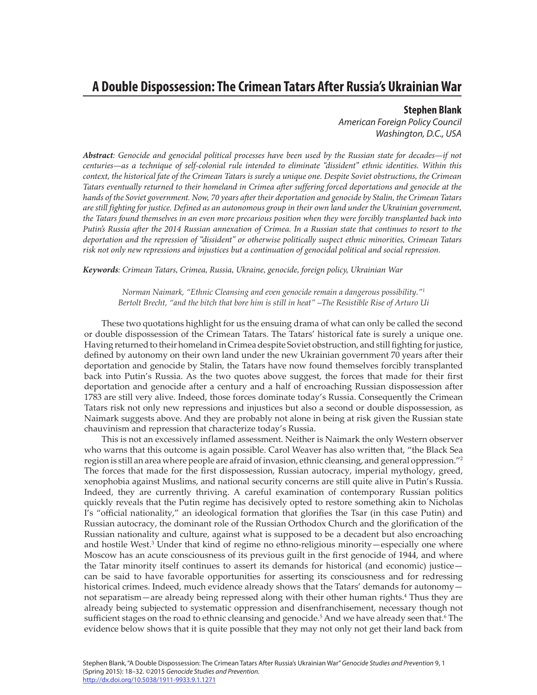### **A Double Dispossession: The Crimean Tatars After Russia's Ukrainian War**

**Stephen Blank** *American Foreign Policy Council Washington, D.C., USA*

*Abstract: Genocide and genocidal political processes have been used by the Russian state for decades—if not centuries—as a technique of self-colonial rule intended to eliminate "dissident" ethnic identities. Within this context, the historical fate of the Crimean Tatars is surely a unique one. Despite Soviet obstructions, the Crimean Tatars eventually returned to their homeland in Crimea after suffering forced deportations and genocide at the hands of the Soviet government. Now, 70 years after their deportation and genocide by Stalin, the Crimean Tatars are still fighting for justice. Defined as an autonomous group in their own land under the Ukrainian government, the Tatars found themselves in an even more precarious position when they were forcibly transplanted back into Putin's Russia after the 2014 Russian annexation of Crimea. In a Russian state that continues to resort to the deportation and the repression of "dissident" or otherwise politically suspect ethnic minorities, Crimean Tatars risk not only new repressions and injustices but a continuation of genocidal political and social repression.*

*Keywords: Crimean Tatars, Crimea, Russia, Ukraine, genocide, foreign policy, Ukrainian War*

*Norman Naimark, "Ethnic Cleansing and even genocide remain a dangerous possibility."1 Bertolt Brecht, "and the bitch that bore him is still in heat" –The Resistible Rise of Arturo Ui*

These two quotations highlight for us the ensuing drama of what can only be called the second or double dispossession of the Crimean Tatars. The Tatars' historical fate is surely a unique one. Having returned to their homeland in Crimea despite Soviet obstruction, and still fighting for justice, defined by autonomy on their own land under the new Ukrainian government 70 years after their deportation and genocide by Stalin, the Tatars have now found themselves forcibly transplanted back into Putin's Russia. As the two quotes above suggest, the forces that made for their first deportation and genocide after a century and a half of encroaching Russian dispossession after 1783 are still very alive. Indeed, those forces dominate today's Russia. Consequently the Crimean Tatars risk not only new repressions and injustices but also a second or double dispossession, as Naimark suggests above. And they are probably not alone in being at risk given the Russian state chauvinism and repression that characterize today's Russia.

This is not an excessively inflamed assessment. Neither is Naimark the only Western observer who warns that this outcome is again possible. Carol Weaver has also written that, "the Black Sea region is still an area where people are afraid of invasion, ethnic cleansing, and general oppression."2 The forces that made for the first dispossession, Russian autocracy, imperial mythology, greed, xenophobia against Muslims, and national security concerns are still quite alive in Putin's Russia. Indeed, they are currently thriving. A careful examination of contemporary Russian politics quickly reveals that the Putin regime has decisively opted to restore something akin to Nicholas I's "official nationality," an ideological formation that glorifies the Tsar (in this case Putin) and Russian autocracy, the dominant role of the Russian Orthodox Church and the glorification of the Russian nationality and culture, against what is supposed to be a decadent but also encroaching and hostile West.<sup>3</sup> Under that kind of regime no ethno-religious minority—especially one where Moscow has an acute consciousness of its previous guilt in the first genocide of 1944, and where the Tatar minority itself continues to assert its demands for historical (and economic) justice can be said to have favorable opportunities for asserting its consciousness and for redressing historical crimes. Indeed, much evidence already shows that the Tatars' demands for autonomynot separatism—are already being repressed along with their other human rights.<sup>4</sup> Thus they are already being subjected to systematic oppression and disenfranchisement, necessary though not sufficient stages on the road to ethnic cleansing and genocide.<sup>5</sup> And we have already seen that.<sup>6</sup> The evidence below shows that it is quite possible that they may not only not get their land back from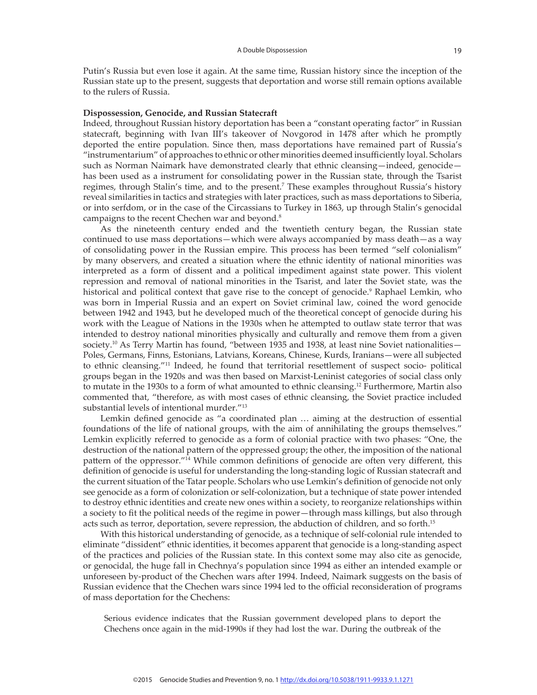Putin's Russia but even lose it again. At the same time, Russian history since the inception of the Russian state up to the present, suggests that deportation and worse still remain options available to the rulers of Russia.

#### **Dispossession, Genocide, and Russian Statecraft**

Indeed, throughout Russian history deportation has been a "constant operating factor" in Russian statecraft, beginning with Ivan III's takeover of Novgorod in 1478 after which he promptly deported the entire population. Since then, mass deportations have remained part of Russia's "instrumentarium" of approaches to ethnic or other minorities deemed insufficiently loyal. Scholars such as Norman Naimark have demonstrated clearly that ethnic cleansing—indeed, genocide has been used as a instrument for consolidating power in the Russian state, through the Tsarist regimes, through Stalin's time, and to the present.<sup>7</sup> These examples throughout Russia's history reveal similarities in tactics and strategies with later practices, such as mass deportations to Siberia, or into serfdom, or in the case of the Circassians to Turkey in 1863, up through Stalin's genocidal campaigns to the recent Chechen war and beyond.<sup>8</sup>

As the nineteenth century ended and the twentieth century began, the Russian state continued to use mass deportations—which were always accompanied by mass death—as a way of consolidating power in the Russian empire. This process has been termed "self colonialism" by many observers, and created a situation where the ethnic identity of national minorities was interpreted as a form of dissent and a political impediment against state power. This violent repression and removal of national minorities in the Tsarist, and later the Soviet state, was the historical and political context that gave rise to the concept of genocide.<sup>9</sup> Raphael Lemkin, who was born in Imperial Russia and an expert on Soviet criminal law, coined the word genocide between 1942 and 1943, but he developed much of the theoretical concept of genocide during his work with the League of Nations in the 1930s when he attempted to outlaw state terror that was intended to destroy national minorities physically and culturally and remove them from a given society.<sup>10</sup> As Terry Martin has found, "between 1935 and 1938, at least nine Soviet nationalities— Poles, Germans, Finns, Estonians, Latvians, Koreans, Chinese, Kurds, Iranians—were all subjected to ethnic cleansing."11 Indeed, he found that territorial resettlement of suspect socio- political groups began in the 1920s and was then based on Marxist-Leninist categories of social class only to mutate in the 1930s to a form of what amounted to ethnic cleansing.<sup>12</sup> Furthermore, Martin also commented that, "therefore, as with most cases of ethnic cleansing, the Soviet practice included substantial levels of intentional murder."<sup>13</sup>

Lemkin defined genocide as "a coordinated plan … aiming at the destruction of essential foundations of the life of national groups, with the aim of annihilating the groups themselves." Lemkin explicitly referred to genocide as a form of colonial practice with two phases: "One, the destruction of the national pattern of the oppressed group; the other, the imposition of the national pattern of the oppressor."14 While common definitions of genocide are often very different, this definition of genocide is useful for understanding the long-standing logic of Russian statecraft and the current situation of the Tatar people. Scholars who use Lemkin's definition of genocide not only see genocide as a form of colonization or self-colonization, but a technique of state power intended to destroy ethnic identities and create new ones within a society, to reorganize relationships within a society to fit the political needs of the regime in power—through mass killings, but also through acts such as terror, deportation, severe repression, the abduction of children, and so forth.15

With this historical understanding of genocide, as a technique of self-colonial rule intended to eliminate "dissident" ethnic identities, it becomes apparent that genocide is a long-standing aspect of the practices and policies of the Russian state. In this context some may also cite as genocide, or genocidal, the huge fall in Chechnya's population since 1994 as either an intended example or unforeseen by-product of the Chechen wars after 1994. Indeed, Naimark suggests on the basis of Russian evidence that the Chechen wars since 1994 led to the official reconsideration of programs of mass deportation for the Chechens:

Serious evidence indicates that the Russian government developed plans to deport the Chechens once again in the mid-1990s if they had lost the war. During the outbreak of the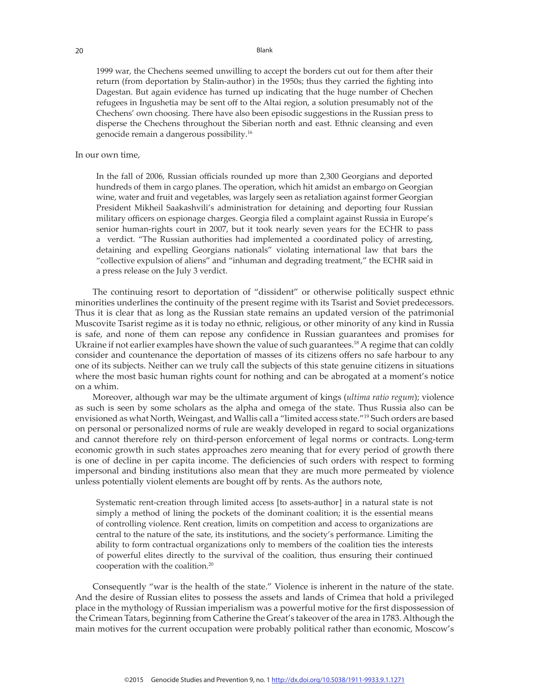1999 war, the Chechens seemed unwilling to accept the borders cut out for them after their return (from deportation by Stalin-author) in the 1950s; thus they carried the fighting into Dagestan. But again evidence has turned up indicating that the huge number of Chechen refugees in Ingushetia may be sent off to the Altai region, a solution presumably not of the Chechens' own choosing. There have also been episodic suggestions in the Russian press to disperse the Chechens throughout the Siberian north and east. Ethnic cleansing and even genocide remain a dangerous possibility.16

#### In our own time,

In the fall of 2006, Russian officials rounded up more than 2,300 Georgians and deported hundreds of them in cargo planes. The operation, which hit amidst an embargo on Georgian wine, water and fruit and vegetables, was largely seen as retaliation against former Georgian President Mikheil Saakashvili's administration for detaining and deporting four Russian military officers on espionage charges. Georgia filed a complaint against Russia in Europe's senior human-rights court in 2007, but it took nearly seven years for the ECHR to pass a verdict. "The Russian authorities had implemented a coordinated policy of arresting, detaining and expelling Georgians nationals" violating international law that bars the "collective expulsion of aliens" and "inhuman and degrading treatment," the ECHR said in a press release on the July 3 verdict.

The continuing resort to deportation of "dissident" or otherwise politically suspect ethnic minorities underlines the continuity of the present regime with its Tsarist and Soviet predecessors. Thus it is clear that as long as the Russian state remains an updated version of the patrimonial Muscovite Tsarist regime as it is today no ethnic, religious, or other minority of any kind in Russia is safe, and none of them can repose any confidence in Russian guarantees and promises for Ukraine if not earlier examples have shown the value of such guarantees.<sup>18</sup> A regime that can coldly consider and countenance the deportation of masses of its citizens offers no safe harbour to any one of its subjects. Neither can we truly call the subjects of this state genuine citizens in situations where the most basic human rights count for nothing and can be abrogated at a moment's notice on a whim.

Moreover, although war may be the ultimate argument of kings (*ultima ratio regum*); violence as such is seen by some scholars as the alpha and omega of the state. Thus Russia also can be envisioned as what North, Weingast, and Wallis call a "limited access state."19 Such orders are based on personal or personalized norms of rule are weakly developed in regard to social organizations and cannot therefore rely on third-person enforcement of legal norms or contracts. Long-term economic growth in such states approaches zero meaning that for every period of growth there is one of decline in per capita income. The deficiencies of such orders with respect to forming impersonal and binding institutions also mean that they are much more permeated by violence unless potentially violent elements are bought off by rents. As the authors note,

Systematic rent-creation through limited access [to assets-author] in a natural state is not simply a method of lining the pockets of the dominant coalition; it is the essential means of controlling violence. Rent creation, limits on competition and access to organizations are central to the nature of the sate, its institutions, and the society's performance. Limiting the ability to form contractual organizations only to members of the coalition ties the interests of powerful elites directly to the survival of the coalition, thus ensuring their continued cooperation with the coalition.<sup>20</sup>

Consequently "war is the health of the state." Violence is inherent in the nature of the state. And the desire of Russian elites to possess the assets and lands of Crimea that hold a privileged place in the mythology of Russian imperialism was a powerful motive for the first dispossession of the Crimean Tatars, beginning from Catherine the Great's takeover of the area in 1783. Although the main motives for the current occupation were probably political rather than economic, Moscow's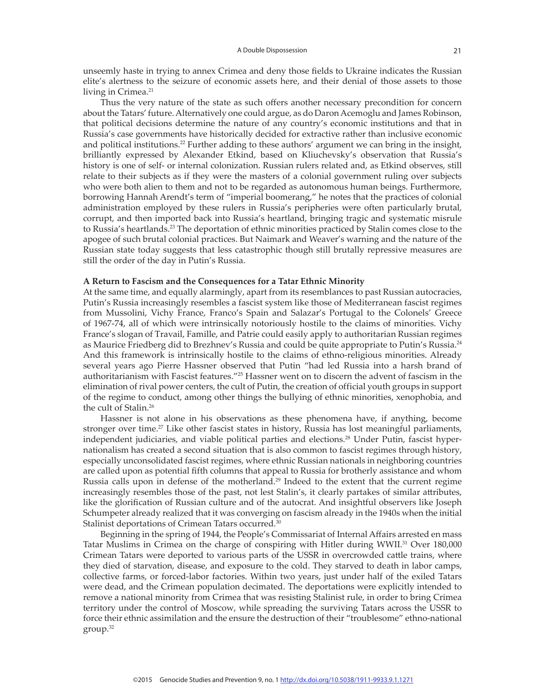unseemly haste in trying to annex Crimea and deny those fields to Ukraine indicates the Russian elite's alertness to the seizure of economic assets here, and their denial of those assets to those living in Crimea.<sup>21</sup>

Thus the very nature of the state as such offers another necessary precondition for concern about the Tatars' future. Alternatively one could argue, as do Daron Acemoglu and James Robinson, that political decisions determine the nature of any country's economic institutions and that in Russia's case governments have historically decided for extractive rather than inclusive economic and political institutions.<sup>22</sup> Further adding to these authors' argument we can bring in the insight, brilliantly expressed by Alexander Etkind, based on Kliuchevsky's observation that Russia's history is one of self- or internal colonization. Russian rulers related and, as Etkind observes, still relate to their subjects as if they were the masters of a colonial government ruling over subjects who were both alien to them and not to be regarded as autonomous human beings. Furthermore, borrowing Hannah Arendt's term of "imperial boomerang," he notes that the practices of colonial administration employed by these rulers in Russia's peripheries were often particularly brutal, corrupt, and then imported back into Russia's heartland, bringing tragic and systematic misrule to Russia's heartlands.23 The deportation of ethnic minorities practiced by Stalin comes close to the apogee of such brutal colonial practices. But Naimark and Weaver's warning and the nature of the Russian state today suggests that less catastrophic though still brutally repressive measures are still the order of the day in Putin's Russia.

#### **A Return to Fascism and the Consequences for a Tatar Ethnic Minority**

At the same time, and equally alarmingly, apart from its resemblances to past Russian autocracies, Putin's Russia increasingly resembles a fascist system like those of Mediterranean fascist regimes from Mussolini, Vichy France, Franco's Spain and Salazar's Portugal to the Colonels' Greece of 1967-74, all of which were intrinsically notoriously hostile to the claims of minorities. Vichy France's slogan of Travail, Famille, and Patrie could easily apply to authoritarian Russian regimes as Maurice Friedberg did to Brezhnev's Russia and could be quite appropriate to Putin's Russia.<sup>24</sup> And this framework is intrinsically hostile to the claims of ethno-religious minorities. Already several years ago Pierre Hassner observed that Putin "had led Russia into a harsh brand of authoritarianism with Fascist features."25 Hassner went on to discern the advent of fascism in the elimination of rival power centers, the cult of Putin, the creation of official youth groups in support of the regime to conduct, among other things the bullying of ethnic minorities, xenophobia, and the cult of Stalin.26

Hassner is not alone in his observations as these phenomena have, if anything, become stronger over time.<sup>27</sup> Like other fascist states in history, Russia has lost meaningful parliaments, independent judiciaries, and viable political parties and elections.28 Under Putin, fascist hypernationalism has created a second situation that is also common to fascist regimes through history, especially unconsolidated fascist regimes, where ethnic Russian nationals in neighboring countries are called upon as potential fifth columns that appeal to Russia for brotherly assistance and whom Russia calls upon in defense of the motherland.<sup>29</sup> Indeed to the extent that the current regime increasingly resembles those of the past, not lest Stalin's, it clearly partakes of similar attributes, like the glorification of Russian culture and of the autocrat. And insightful observers like Joseph Schumpeter already realized that it was converging on fascism already in the 1940s when the initial Stalinist deportations of Crimean Tatars occurred.<sup>30</sup>

Beginning in the spring of 1944, the People's Commissariat of Internal Affairs arrested en mass Tatar Muslims in Crimea on the charge of conspiring with Hitler during WWII.<sup>31</sup> Over 180,000 Crimean Tatars were deported to various parts of the USSR in overcrowded cattle trains, where they died of starvation, disease, and exposure to the cold. They starved to death in labor camps, collective farms, or forced-labor factories. Within two years, just under half of the exiled Tatars were dead, and the Crimean population decimated. The deportations were explicitly intended to remove a national minority from Crimea that was resisting Stalinist rule, in order to bring Crimea territory under the control of Moscow, while spreading the surviving Tatars across the USSR to force their ethnic assimilation and the ensure the destruction of their "troublesome" ethno-national group.32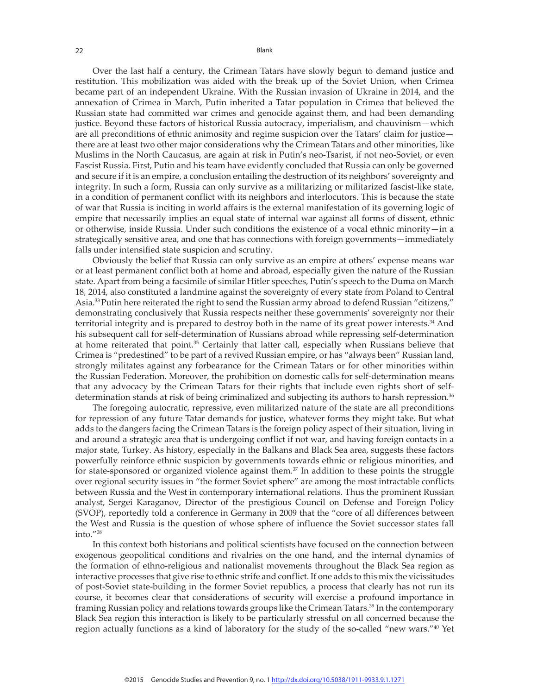Over the last half a century, the Crimean Tatars have slowly begun to demand justice and restitution. This mobilization was aided with the break up of the Soviet Union, when Crimea became part of an independent Ukraine. With the Russian invasion of Ukraine in 2014, and the annexation of Crimea in March, Putin inherited a Tatar population in Crimea that believed the Russian state had committed war crimes and genocide against them, and had been demanding justice. Beyond these factors of historical Russia autocracy, imperialism, and chauvinism—which are all preconditions of ethnic animosity and regime suspicion over the Tatars' claim for justice there are at least two other major considerations why the Crimean Tatars and other minorities, like Muslims in the North Caucasus, are again at risk in Putin's neo-Tsarist, if not neo-Soviet, or even Fascist Russia. First, Putin and his team have evidently concluded that Russia can only be governed and secure if it is an empire, a conclusion entailing the destruction of its neighbors' sovereignty and integrity. In such a form, Russia can only survive as a militarizing or militarized fascist-like state, in a condition of permanent conflict with its neighbors and interlocutors. This is because the state of war that Russia is inciting in world affairs is the external manifestation of its governing logic of empire that necessarily implies an equal state of internal war against all forms of dissent, ethnic or otherwise, inside Russia. Under such conditions the existence of a vocal ethnic minority—in a strategically sensitive area, and one that has connections with foreign governments—immediately falls under intensified state suspicion and scrutiny.

Obviously the belief that Russia can only survive as an empire at others' expense means war or at least permanent conflict both at home and abroad, especially given the nature of the Russian state. Apart from being a facsimile of similar Hitler speeches, Putin's speech to the Duma on March 18, 2014, also constituted a landmine against the sovereignty of every state from Poland to Central Asia.33 Putin here reiterated the right to send the Russian army abroad to defend Russian "citizens," demonstrating conclusively that Russia respects neither these governments' sovereignty nor their territorial integrity and is prepared to destroy both in the name of its great power interests.34 And his subsequent call for self-determination of Russians abroad while repressing self-determination at home reiterated that point.<sup>35</sup> Certainly that latter call, especially when Russians believe that Crimea is "predestined" to be part of a revived Russian empire, or has "always been" Russian land, strongly militates against any forbearance for the Crimean Tatars or for other minorities within the Russian Federation. Moreover, the prohibition on domestic calls for self-determination means that any advocacy by the Crimean Tatars for their rights that include even rights short of selfdetermination stands at risk of being criminalized and subjecting its authors to harsh repression.<sup>36</sup>

The foregoing autocratic, repressive, even militarized nature of the state are all preconditions for repression of any future Tatar demands for justice, whatever forms they might take. But what adds to the dangers facing the Crimean Tatars is the foreign policy aspect of their situation, living in and around a strategic area that is undergoing conflict if not war, and having foreign contacts in a major state, Turkey. As history, especially in the Balkans and Black Sea area, suggests these factors powerfully reinforce ethnic suspicion by governments towards ethnic or religious minorities, and for state-sponsored or organized violence against them. $37$  In addition to these points the struggle over regional security issues in "the former Soviet sphere" are among the most intractable conflicts between Russia and the West in contemporary international relations. Thus the prominent Russian analyst, Sergei Karaganov, Director of the prestigious Council on Defense and Foreign Policy (SVOP), reportedly told a conference in Germany in 2009 that the "core of all differences between the West and Russia is the question of whose sphere of influence the Soviet successor states fall into."<sup>38</sup>

In this context both historians and political scientists have focused on the connection between exogenous geopolitical conditions and rivalries on the one hand, and the internal dynamics of the formation of ethno-religious and nationalist movements throughout the Black Sea region as interactive processes that give rise to ethnic strife and conflict. If one adds to this mix the vicissitudes of post-Soviet state-building in the former Soviet republics, a process that clearly has not run its course, it becomes clear that considerations of security will exercise a profound importance in framing Russian policy and relations towards groups like the Crimean Tatars.<sup>39</sup> In the contemporary Black Sea region this interaction is likely to be particularly stressful on all concerned because the region actually functions as a kind of laboratory for the study of the so-called "new wars."40 Yet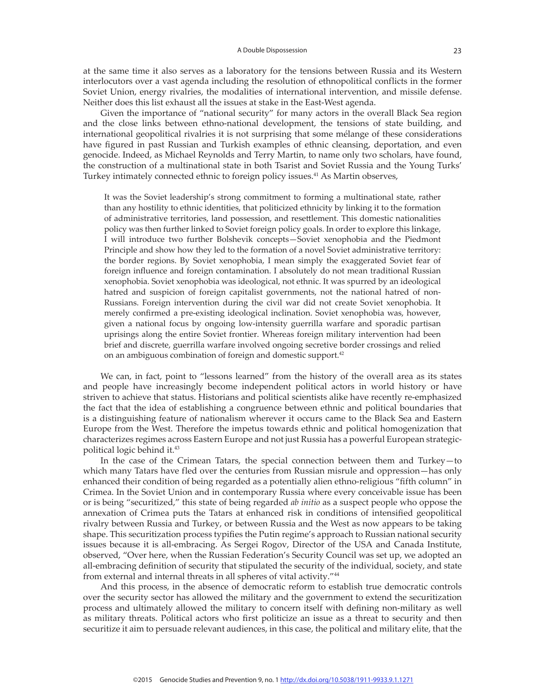at the same time it also serves as a laboratory for the tensions between Russia and its Western interlocutors over a vast agenda including the resolution of ethnopolitical conflicts in the former Soviet Union, energy rivalries, the modalities of international intervention, and missile defense. Neither does this list exhaust all the issues at stake in the East-West agenda.

Given the importance of "national security" for many actors in the overall Black Sea region and the close links between ethno-national development, the tensions of state building, and international geopolitical rivalries it is not surprising that some mélange of these considerations have figured in past Russian and Turkish examples of ethnic cleansing, deportation, and even genocide. Indeed, as Michael Reynolds and Terry Martin, to name only two scholars, have found, the construction of a multinational state in both Tsarist and Soviet Russia and the Young Turks' Turkey intimately connected ethnic to foreign policy issues.<sup>41</sup> As Martin observes,

It was the Soviet leadership's strong commitment to forming a multinational state, rather than any hostility to ethnic identities, that politicized ethnicity by linking it to the formation of administrative territories, land possession, and resettlement. This domestic nationalities policy was then further linked to Soviet foreign policy goals. In order to explore this linkage, I will introduce two further Bolshevik concepts—Soviet xenophobia and the Piedmont Principle and show how they led to the formation of a novel Soviet administrative territory: the border regions. By Soviet xenophobia, I mean simply the exaggerated Soviet fear of foreign influence and foreign contamination. I absolutely do not mean traditional Russian xenophobia. Soviet xenophobia was ideological, not ethnic. It was spurred by an ideological hatred and suspicion of foreign capitalist governments, not the national hatred of non-Russians. Foreign intervention during the civil war did not create Soviet xenophobia. It merely confirmed a pre-existing ideological inclination. Soviet xenophobia was, however, given a national focus by ongoing low-intensity guerrilla warfare and sporadic partisan uprisings along the entire Soviet frontier. Whereas foreign military intervention had been brief and discrete, guerrilla warfare involved ongoing secretive border crossings and relied on an ambiguous combination of foreign and domestic support.<sup>42</sup>

We can, in fact, point to "lessons learned" from the history of the overall area as its states and people have increasingly become independent political actors in world history or have striven to achieve that status. Historians and political scientists alike have recently re-emphasized the fact that the idea of establishing a congruence between ethnic and political boundaries that is a distinguishing feature of nationalism wherever it occurs came to the Black Sea and Eastern Europe from the West. Therefore the impetus towards ethnic and political homogenization that characterizes regimes across Eastern Europe and not just Russia has a powerful European strategicpolitical logic behind it.<sup>43</sup>

In the case of the Crimean Tatars, the special connection between them and Turkey—to which many Tatars have fled over the centuries from Russian misrule and oppression—has only enhanced their condition of being regarded as a potentially alien ethno-religious "fifth column" in Crimea. In the Soviet Union and in contemporary Russia where every conceivable issue has been or is being "securitized," this state of being regarded *ab initio* as a suspect people who oppose the annexation of Crimea puts the Tatars at enhanced risk in conditions of intensified geopolitical rivalry between Russia and Turkey, or between Russia and the West as now appears to be taking shape. This securitization process typifies the Putin regime's approach to Russian national security issues because it is all-embracing. As Sergei Rogov, Director of the USA and Canada Institute, observed, "Over here, when the Russian Federation's Security Council was set up, we adopted an all-embracing definition of security that stipulated the security of the individual, society, and state from external and internal threats in all spheres of vital activity."<sup>44</sup>

And this process, in the absence of democratic reform to establish true democratic controls over the security sector has allowed the military and the government to extend the securitization process and ultimately allowed the military to concern itself with defining non-military as well as military threats. Political actors who first politicize an issue as a threat to security and then securitize it aim to persuade relevant audiences, in this case, the political and military elite, that the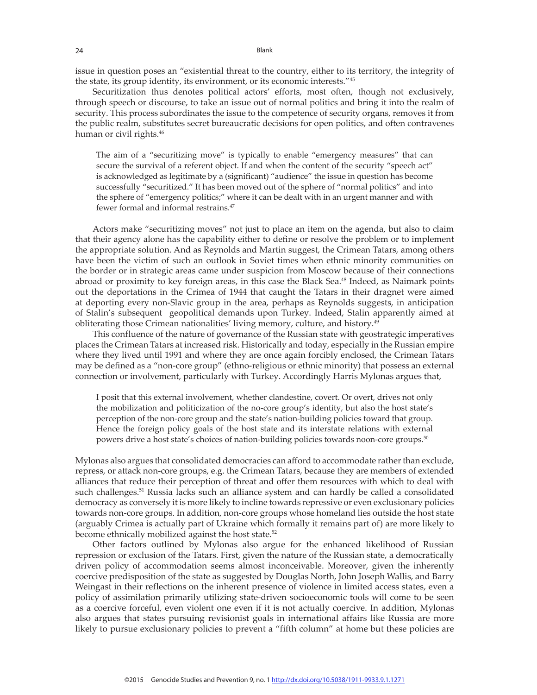issue in question poses an "existential threat to the country, either to its territory, the integrity of the state, its group identity, its environment, or its economic interests."<sup>45</sup>

Securitization thus denotes political actors' efforts, most often, though not exclusively, through speech or discourse, to take an issue out of normal politics and bring it into the realm of security. This process subordinates the issue to the competence of security organs, removes it from the public realm, substitutes secret bureaucratic decisions for open politics, and often contravenes human or civil rights.<sup>46</sup>

The aim of a "securitizing move" is typically to enable "emergency measures" that can secure the survival of a referent object. If and when the content of the security "speech act" is acknowledged as legitimate by a (significant) "audience" the issue in question has become successfully "securitized." It has been moved out of the sphere of "normal politics" and into the sphere of "emergency politics;" where it can be dealt with in an urgent manner and with fewer formal and informal restrains.<sup>47</sup>

Actors make "securitizing moves" not just to place an item on the agenda, but also to claim that their agency alone has the capability either to define or resolve the problem or to implement the appropriate solution. And as Reynolds and Martin suggest, the Crimean Tatars, among others have been the victim of such an outlook in Soviet times when ethnic minority communities on the border or in strategic areas came under suspicion from Moscow because of their connections abroad or proximity to key foreign areas, in this case the Black Sea.<sup>48</sup> Indeed, as Naimark points out the deportations in the Crimea of 1944 that caught the Tatars in their dragnet were aimed at deporting every non-Slavic group in the area, perhaps as Reynolds suggests, in anticipation of Stalin's subsequent geopolitical demands upon Turkey. Indeed, Stalin apparently aimed at obliterating those Crimean nationalities' living memory, culture, and history.<sup>49</sup>

This confluence of the nature of governance of the Russian state with geostrategic imperatives places the Crimean Tatars at increased risk. Historically and today, especially in the Russian empire where they lived until 1991 and where they are once again forcibly enclosed, the Crimean Tatars may be defined as a "non-core group" (ethno-religious or ethnic minority) that possess an external connection or involvement, particularly with Turkey. Accordingly Harris Mylonas argues that,

I posit that this external involvement, whether clandestine, covert. Or overt, drives not only the mobilization and politicization of the no-core group's identity, but also the host state's perception of the non-core group and the state's nation-building policies toward that group. Hence the foreign policy goals of the host state and its interstate relations with external powers drive a host state's choices of nation-building policies towards noon-core groups.<sup>50</sup>

Mylonas also argues that consolidated democracies can afford to accommodate rather than exclude, repress, or attack non-core groups, e.g. the Crimean Tatars, because they are members of extended alliances that reduce their perception of threat and offer them resources with which to deal with such challenges.<sup>51</sup> Russia lacks such an alliance system and can hardly be called a consolidated democracy as conversely it is more likely to incline towards repressive or even exclusionary policies towards non-core groups. In addition, non-core groups whose homeland lies outside the host state (arguably Crimea is actually part of Ukraine which formally it remains part of) are more likely to become ethnically mobilized against the host state.<sup>52</sup>

Other factors outlined by Mylonas also argue for the enhanced likelihood of Russian repression or exclusion of the Tatars. First, given the nature of the Russian state, a democratically driven policy of accommodation seems almost inconceivable. Moreover, given the inherently coercive predisposition of the state as suggested by Douglas North, John Joseph Wallis, and Barry Weingast in their reflections on the inherent presence of violence in limited access states, even a policy of assimilation primarily utilizing state-driven socioeconomic tools will come to be seen as a coercive forceful, even violent one even if it is not actually coercive. In addition, Mylonas also argues that states pursuing revisionist goals in international affairs like Russia are more likely to pursue exclusionary policies to prevent a "fifth column" at home but these policies are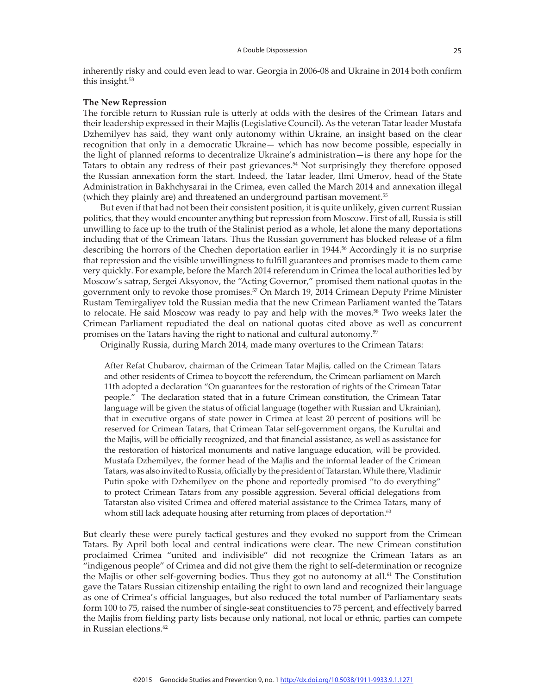inherently risky and could even lead to war. Georgia in 2006-08 and Ukraine in 2014 both confirm this insight.<sup>53</sup>

#### **The New Repression**

The forcible return to Russian rule is utterly at odds with the desires of the Crimean Tatars and their leadership expressed in their Majlis (Legislative Council). As the veteran Tatar leader Mustafa Dzhemilyev has said, they want only autonomy within Ukraine, an insight based on the clear recognition that only in a democratic Ukraine— which has now become possible, especially in the light of planned reforms to decentralize Ukraine's administration—is there any hope for the Tatars to obtain any redress of their past grievances.<sup>54</sup> Not surprisingly they therefore opposed the Russian annexation form the start. Indeed, the Tatar leader, Ilmi Umerov, head of the State Administration in Bakhchysarai in the Crimea, even called the March 2014 and annexation illegal (which they plainly are) and threatened an underground partisan movement.<sup>55</sup>

But even if that had not been their consistent position, it is quite unlikely, given current Russian politics, that they would encounter anything but repression from Moscow. First of all, Russia is still unwilling to face up to the truth of the Stalinist period as a whole, let alone the many deportations including that of the Crimean Tatars. Thus the Russian government has blocked release of a film describing the horrors of the Chechen deportation earlier in 1944.<sup>56</sup> Accordingly it is no surprise that repression and the visible unwillingness to fulfill guarantees and promises made to them came very quickly. For example, before the March 2014 referendum in Crimea the local authorities led by Moscow's satrap, Sergei Aksyonov, the "Acting Governor," promised them national quotas in the government only to revoke those promises.57 On March 19, 2014 Crimean Deputy Prime Minister Rustam Temirgaliyev told the Russian media that the new Crimean Parliament wanted the Tatars to relocate. He said Moscow was ready to pay and help with the moves.<sup>58</sup> Two weeks later the Crimean Parliament repudiated the deal on national quotas cited above as well as concurrent promises on the Tatars having the right to national and cultural autonomy.<sup>59</sup>

Originally Russia, during March 2014, made many overtures to the Crimean Tatars:

After Refat Chubarov, chairman of the Crimean Tatar Majlis, called on the Crimean Tatars and other residents of Crimea to boycott the referendum, the Crimean parliament on March 11th adopted a declaration "On guarantees for the restoration of rights of the Crimean Tatar people." The declaration stated that in a future Crimean constitution, the Crimean Tatar language will be given the status of official language (together with Russian and Ukrainian), that in executive organs of state power in Crimea at least 20 percent of positions will be reserved for Crimean Tatars, that Crimean Tatar self-government organs, the Kurultai and the Majlis, will be officially recognized, and that financial assistance, as well as assistance for the restoration of historical monuments and native language education, will be provided. Mustafa Dzhemilyev, the former head of the Majlis and the informal leader of the Crimean Tatars, was also invited to Russia, officially by the president of Tatarstan. While there, Vladimir Putin spoke with Dzhemilyev on the phone and reportedly promised "to do everything" to protect Crimean Tatars from any possible aggression. Several official delegations from Tatarstan also visited Crimea and offered material assistance to the Crimea Tatars, many of whom still lack adequate housing after returning from places of deportation.<sup>60</sup>

But clearly these were purely tactical gestures and they evoked no support from the Crimean Tatars. By April both local and central indications were clear. The new Crimean constitution proclaimed Crimea "united and indivisible" did not recognize the Crimean Tatars as an "indigenous people" of Crimea and did not give them the right to self-determination or recognize the Majlis or other self-governing bodies. Thus they got no autonomy at all.<sup>61</sup> The Constitution gave the Tatars Russian citizenship entailing the right to own land and recognized their language as one of Crimea's official languages, but also reduced the total number of Parliamentary seats form 100 to 75, raised the number of single-seat constituencies to 75 percent, and effectively barred the Majlis from fielding party lists because only national, not local or ethnic, parties can compete in Russian elections.<sup>62</sup>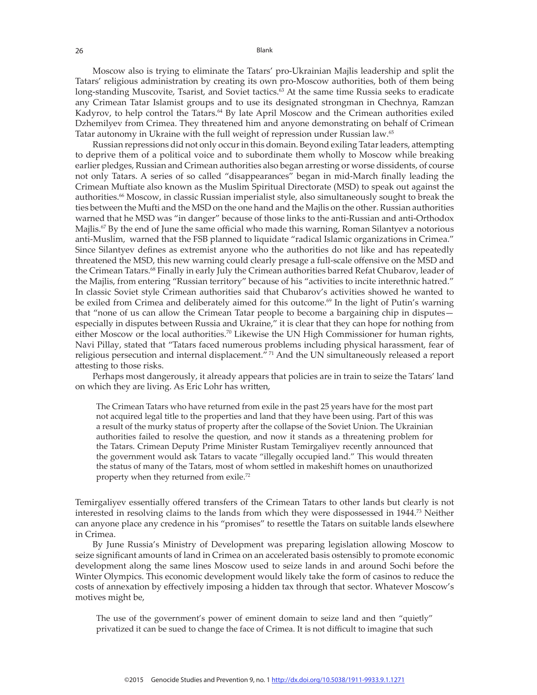Moscow also is trying to eliminate the Tatars' pro-Ukrainian Majlis leadership and split the Tatars' religious administration by creating its own pro-Moscow authorities, both of them being long-standing Muscovite, Tsarist, and Soviet tactics.<sup>63</sup> At the same time Russia seeks to eradicate any Crimean Tatar Islamist groups and to use its designated strongman in Chechnya, Ramzan Kadyrov, to help control the Tatars.<sup>64</sup> By late April Moscow and the Crimean authorities exiled Dzhemilyev from Crimea. They threatened him and anyone demonstrating on behalf of Crimean Tatar autonomy in Ukraine with the full weight of repression under Russian law.<sup>65</sup>

Russian repressions did not only occur in this domain. Beyond exiling Tatar leaders, attempting to deprive them of a political voice and to subordinate them wholly to Moscow while breaking earlier pledges, Russian and Crimean authorities also began arresting or worse dissidents, of course not only Tatars. A series of so called "disappearances" began in mid-March finally leading the Crimean Muftiate also known as the Muslim Spiritual Directorate (MSD) to speak out against the authorities.<sup>66</sup> Moscow, in classic Russian imperialist style, also simultaneously sought to break the ties between the Mufti and the MSD on the one hand and the Majlis on the other. Russian authorities warned that he MSD was "in danger" because of those links to the anti-Russian and anti-Orthodox Majlis.<sup>67</sup> By the end of June the same official who made this warning, Roman Silantyev a notorious anti-Muslim, warned that the FSB planned to liquidate "radical Islamic organizations in Crimea." Since Silantyev defines as extremist anyone who the authorities do not like and has repeatedly threatened the MSD, this new warning could clearly presage a full-scale offensive on the MSD and the Crimean Tatars.<sup>68</sup> Finally in early July the Crimean authorities barred Refat Chubarov, leader of the Majlis, from entering "Russian territory" because of his "activities to incite interethnic hatred." In classic Soviet style Crimean authorities said that Chubarov's activities showed he wanted to be exiled from Crimea and deliberately aimed for this outcome.<sup>69</sup> In the light of Putin's warning that "none of us can allow the Crimean Tatar people to become a bargaining chip in disputes especially in disputes between Russia and Ukraine," it is clear that they can hope for nothing from either Moscow or the local authorities.<sup>70</sup> Likewise the UN High Commissioner for human rights, Navi Pillay, stated that "Tatars faced numerous problems including physical harassment, fear of religious persecution and internal displacement." 71 And the UN simultaneously released a report attesting to those risks.

Perhaps most dangerously, it already appears that policies are in train to seize the Tatars' land on which they are living. As Eric Lohr has written,

The Crimean Tatars who have returned from exile in the past 25 years have for the most part not acquired legal title to the properties and land that they have been using. Part of this was a result of the murky status of property after the collapse of the Soviet Union. The Ukrainian authorities failed to resolve the question, and now it stands as a threatening problem for the Tatars. Crimean Deputy Prime Minister Rustam Temirgaliyev recently announced that the government would ask Tatars to vacate "illegally occupied land." This would threaten the status of many of the Tatars, most of whom settled in makeshift homes on unauthorized property when they returned from exile.<sup>72</sup>

Temirgaliyev essentially offered transfers of the Crimean Tatars to other lands but clearly is not interested in resolving claims to the lands from which they were dispossessed in 1944.73 Neither can anyone place any credence in his "promises" to resettle the Tatars on suitable lands elsewhere in Crimea.

By June Russia's Ministry of Development was preparing legislation allowing Moscow to seize significant amounts of land in Crimea on an accelerated basis ostensibly to promote economic development along the same lines Moscow used to seize lands in and around Sochi before the Winter Olympics. This economic development would likely take the form of casinos to reduce the costs of annexation by effectively imposing a hidden tax through that sector. Whatever Moscow's motives might be,

The use of the government's power of eminent domain to seize land and then "quietly" privatized it can be sued to change the face of Crimea. It is not difficult to imagine that such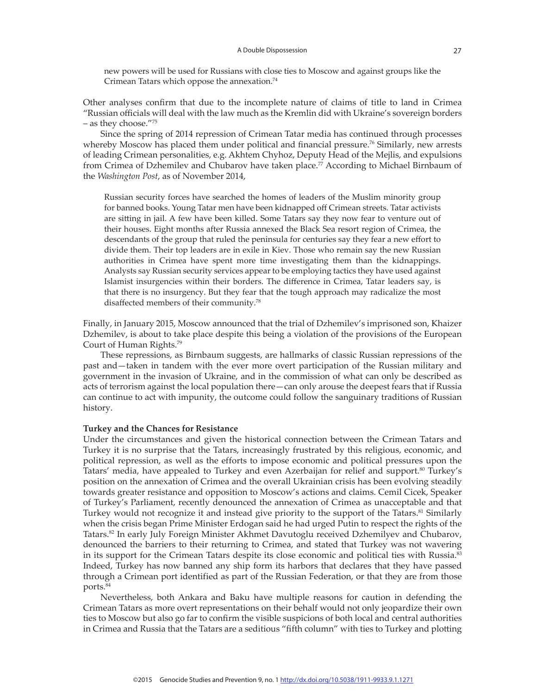new powers will be used for Russians with close ties to Moscow and against groups like the Crimean Tatars which oppose the annexation.<sup>74</sup>

Other analyses confirm that due to the incomplete nature of claims of title to land in Crimea "Russian officials will deal with the law much as the Kremlin did with Ukraine's sovereign borders – as they choose."<sup>75</sup>

Since the spring of 2014 repression of Crimean Tatar media has continued through processes whereby Moscow has placed them under political and financial pressure.<sup>76</sup> Similarly, new arrests of leading Crimean personalities, e.g. Akhtem Chyhoz, Deputy Head of the Mejlis, and expulsions from Crimea of Dzhemilev and Chubarov have taken place.<sup>77</sup> According to Michael Birnbaum of the *Washington Post*, as of November 2014,

Russian security forces have searched the homes of leaders of the Muslim minority group for banned books. Young Tatar men have been kidnapped off Crimean streets. Tatar activists are sitting in jail. A few have been killed. Some Tatars say they now fear to venture out of their houses. Eight months after Russia annexed the Black Sea resort region of Crimea, the descendants of the group that ruled the peninsula for centuries say they fear a new effort to divide them. Their top leaders are in exile in Kiev. Those who remain say the new Russian authorities in Crimea have spent more time investigating them than the kidnappings. Analysts say Russian security services appear to be employing tactics they have used against Islamist insurgencies within their borders. The difference in Crimea, Tatar leaders say, is that there is no insurgency. But they fear that the tough approach may radicalize the most disaffected members of their community.78

Finally, in January 2015, Moscow announced that the trial of Dzhemilev's imprisoned son, Khaizer Dzhemilev, is about to take place despite this being a violation of the provisions of the European Court of Human Rights.79

These repressions, as Birnbaum suggests, are hallmarks of classic Russian repressions of the past and—taken in tandem with the ever more overt participation of the Russian military and government in the invasion of Ukraine, and in the commission of what can only be described as acts of terrorism against the local population there—can only arouse the deepest fears that if Russia can continue to act with impunity, the outcome could follow the sanguinary traditions of Russian history.

#### **Turkey and the Chances for Resistance**

Under the circumstances and given the historical connection between the Crimean Tatars and Turkey it is no surprise that the Tatars, increasingly frustrated by this religious, economic, and political repression, as well as the efforts to impose economic and political pressures upon the Tatars' media, have appealed to Turkey and even Azerbaijan for relief and support.<sup>80</sup> Turkey's position on the annexation of Crimea and the overall Ukrainian crisis has been evolving steadily towards greater resistance and opposition to Moscow's actions and claims. Cemil Cicek, Speaker of Turkey's Parliament, recently denounced the annexation of Crimea as unacceptable and that Turkey would not recognize it and instead give priority to the support of the Tatars.<sup>81</sup> Similarly when the crisis began Prime Minister Erdogan said he had urged Putin to respect the rights of the Tatars.82 In early July Foreign Minister Akhmet Davutoglu received Dzhemilyev and Chubarov, denounced the barriers to their returning to Crimea, and stated that Turkey was not wavering in its support for the Crimean Tatars despite its close economic and political ties with Russia.<sup>83</sup> Indeed, Turkey has now banned any ship form its harbors that declares that they have passed through a Crimean port identified as part of the Russian Federation, or that they are from those ports.<sup>84</sup>

Nevertheless, both Ankara and Baku have multiple reasons for caution in defending the Crimean Tatars as more overt representations on their behalf would not only jeopardize their own ties to Moscow but also go far to confirm the visible suspicions of both local and central authorities in Crimea and Russia that the Tatars are a seditious "fifth column" with ties to Turkey and plotting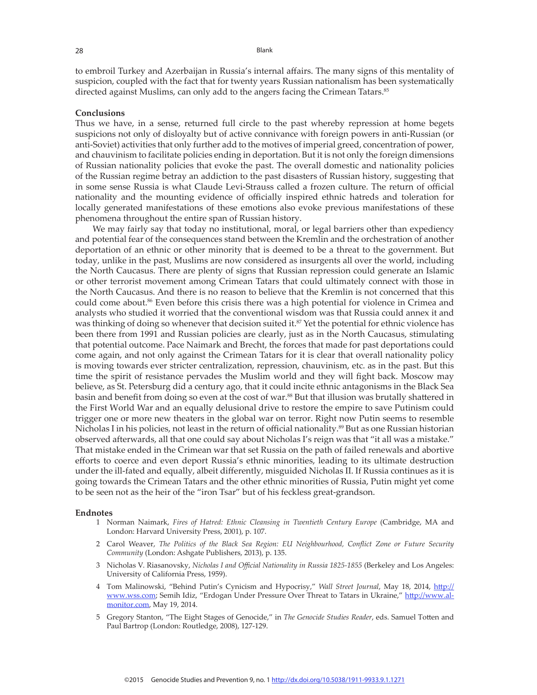to embroil Turkey and Azerbaijan in Russia's internal affairs. The many signs of this mentality of suspicion, coupled with the fact that for twenty years Russian nationalism has been systematically directed against Muslims, can only add to the angers facing the Crimean Tatars.<sup>85</sup>

#### **Conclusions**

Thus we have, in a sense, returned full circle to the past whereby repression at home begets suspicions not only of disloyalty but of active connivance with foreign powers in anti-Russian (or anti-Soviet) activities that only further add to the motives of imperial greed, concentration of power, and chauvinism to facilitate policies ending in deportation. But it is not only the foreign dimensions of Russian nationality policies that evoke the past. The overall domestic and nationality policies of the Russian regime betray an addiction to the past disasters of Russian history, suggesting that in some sense Russia is what Claude Levi-Strauss called a frozen culture. The return of official nationality and the mounting evidence of officially inspired ethnic hatreds and toleration for locally generated manifestations of these emotions also evoke previous manifestations of these phenomena throughout the entire span of Russian history.

We may fairly say that today no institutional, moral, or legal barriers other than expediency and potential fear of the consequences stand between the Kremlin and the orchestration of another deportation of an ethnic or other minority that is deemed to be a threat to the government. But today, unlike in the past, Muslims are now considered as insurgents all over the world, including the North Caucasus. There are plenty of signs that Russian repression could generate an Islamic or other terrorist movement among Crimean Tatars that could ultimately connect with those in the North Caucasus. And there is no reason to believe that the Kremlin is not concerned that this could come about.<sup>86</sup> Even before this crisis there was a high potential for violence in Crimea and analysts who studied it worried that the conventional wisdom was that Russia could annex it and was thinking of doing so whenever that decision suited it.<sup>87</sup> Yet the potential for ethnic violence has been there from 1991 and Russian policies are clearly, just as in the North Caucasus, stimulating that potential outcome. Pace Naimark and Brecht, the forces that made for past deportations could come again, and not only against the Crimean Tatars for it is clear that overall nationality policy is moving towards ever stricter centralization, repression, chauvinism, etc. as in the past. But this time the spirit of resistance pervades the Muslim world and they will fight back. Moscow may believe, as St. Petersburg did a century ago, that it could incite ethnic antagonisms in the Black Sea basin and benefit from doing so even at the cost of war.<sup>88</sup> But that illusion was brutally shattered in the First World War and an equally delusional drive to restore the empire to save Putinism could trigger one or more new theaters in the global war on terror. Right now Putin seems to resemble Nicholas I in his policies, not least in the return of official nationality.<sup>89</sup> But as one Russian historian observed afterwards, all that one could say about Nicholas I's reign was that "it all was a mistake." That mistake ended in the Crimean war that set Russia on the path of failed renewals and abortive efforts to coerce and even deport Russia's ethnic minorities, leading to its ultimate destruction under the ill-fated and equally, albeit differently, misguided Nicholas II. If Russia continues as it is going towards the Crimean Tatars and the other ethnic minorities of Russia, Putin might yet come to be seen not as the heir of the "iron Tsar" but of his feckless great-grandson.

#### **Endnotes**

- 1 Norman Naimark, *Fires of Hatred: Ethnic Cleansing in Twentieth Century Europe* (Cambridge, MA and London: Harvard University Press, 2001), p. 107.
- 2 Carol Weaver, *The Politics of the Black Sea Region: EU Neighbourhood, Conflict Zone or Future Security Community* (London: Ashgate Publishers, 2013), p. 135.
- 3 Nicholas V. Riasanovsky, *Nicholas I and Official Nationality in Russia 1825-1855* (Berkeley and Los Angeles: University of California Press, 1959).
- 4 Tom Malinowski, "Behind Putin's Cynicism and Hypocrisy," *Wall Street Journal*, May 18, 2014, http:// www.wss.com; Semih Idiz, "Erdogan Under Pressure Over Threat to Tatars in Ukraine," http://www.almonitor.com, May 19, 2014.
- 5 Gregory Stanton, "The Eight Stages of Genocide," in *The Genocide Studies Reader*, eds. Samuel Totten and Paul Bartrop (London: Routledge, 2008), 127-129.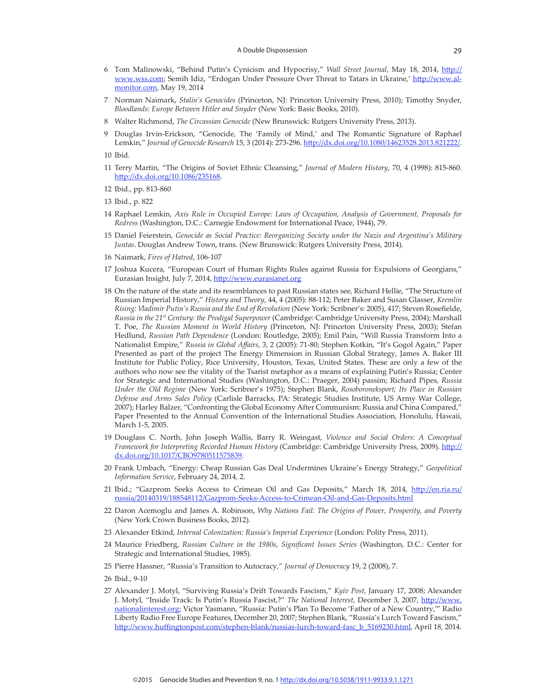- 6 Tom Malinowski, "Behind Putin's Cynicism and Hypocrisy," *Wall Street Journal*, May 18, 2014, http:// www.wss.com; Semih Idiz, "Erdogan Under Pressure Over Threat to Tatars in Ukraine,' http://www.almonitor.com, May 19, 2014
- 7 Norman Naimark, *Stalin's Genocides* (Princeton, NJ: Princeton University Press, 2010); Timothy Snyder, *Bloodlands: Europe Between Hitler and Snyder* (New York: Basic Books, 2010).
- 8 Walter Richmond, *The Circassian Genocide* (New Brunswick: Rutgers University Press, 2013).
- 9 Douglas Irvin-Erickson, "Genocide, The 'Family of Mind,' and The Romantic Signature of Raphael Lemkin," *Journal of Genocide Research* 15, 3 (2014): 273-296. http://dx.doi.org/10.1080/14623528.2013.821222/.

10 Ibid.

- 11 Terry Martin, "The Origins of Soviet Ethnic Cleansing," *Journal of Modern History*, 70, 4 (1998): 815-860. http://dx.doi.org/10.1086/235168.
- 12 Ibid., pp. 813-860
- 13 Ibid., p. 822
- 14 Raphael Lemkin, *Axis Rule in Occupied Europe: Laws of Occupation, Analysis of Government, Proposals for Redress* (Washington, D.C.: Carnegie Endowment for International Peace, 1944), 79.
- 15 Daniel Feierstein, *Genocide as Social Practice: Reorganizing Society under the Nazis and Argentina's Military Juntas*. Douglas Andrew Town, trans. (New Brunswick: Rutgers University Press, 2014).
- 16 Naimark, *Fires of Hatred*, 106-107
- 17 Joshua Kucera, "European Court of Human Rights Rules against Russia for Expulsions of Georgians," Eurasian Insight, July 7, 2014, http://www.eurasianet.org
- 18 On the nature of the state and its resemblances to past Russian states see, Richard Hellie, "The Structure of Russian Imperial History," *History and Theory*, 44, 4 (2005): 88-112; Peter Baker and Susan Glasser, *Kremlin Rising: Vladimir Putin's Russia and the End of Revolution* (New York: Scribner's: 2005), 417; Steven Rosefielde, *Russia in the 21st Century: the Prodigal Superpower* (Cambridge: Cambridge University Press, 2004); Marshall T. Poe, *The Russian Moment in World History* (Princeton, NJ: Princeton University Press, 2003); Stefan Hedlund, *Russian Path Dependence* (London: Routledge, 2005); Emil Pain, "Will Russia Transform Into a Nationalist Empire," *Russia in Global Affairs*, 3, 2 (2005): 71-80; Stephen Kotkin, "It's Gogol Again," Paper Presented as part of the project The Energy Dimension in Russian Global Strategy, James A. Baker III Institute for Public Policy, Rice University, Houston, Texas, United States. These are only a few of the authors who now see the vitality of the Tsarist metaphor as a means of explaining Putin's Russia; Center for Strategic and International Studies (Washington, D.C.: Praeger, 2004) passim; Richard Pipes, *Russia Under the Old Regime* (New York: Scribner's 1975); Stephen Blank, *Rosoboroneksport; Its Place in Russian Defense and Arms Sales Policy* (Carlisle Barracks, PA: Strategic Studies Institute, US Army War College, 2007); Harley Balzer, "Confronting the Global Economy After Communism: Russia and China Compared," Paper Presented to the Annual Convention of the International Studies Association, Honolulu, Hawaii, March 1-5, 2005.
- 19 Douglass C. North, John Joseph Wallis, Barry R. Weingast, *Violence and Social Orders: A Conceptual Framework for Interpreting Recorded Human History* (Cambridge: Cambridge University Press, 2009). http:// dx.doi.org/10.1017/CBO9780511575839.
- 20 Frank Umbach, "Energy: Cheap Russian Gas Deal Undermines Ukraine's Energy Strategy," *Geopolitical Information Service*, February 24, 2014, 2.
- 21 Ibid.; "Gazprom Seeks Access to Crimean Oil and Gas Deposits," March 18, 2014, http://en.ria.ru/ russia/20140319/188548112/Gazprom-Seeks-Access-to-Crimean-Oil-and-Gas-Deposits.html
- 22 Daron Acemoglu and James A. Robinson, *Why Nations Fail: The Origins of Power, Prosperity, and Poverty* (New York Crown Business Books, 2012).
- 23 Alexander Etkind, *Internal Colonization: Russia's Imperial Experience* (London: Polity Press, 2011).
- 24 Maurice Friedberg, *Russian Culture in the 1980s, Significant Issues Series* (Washington, D.C.: Center for Strategic and International Studies, 1985).
- 25 Pierre Hassner, "Russia's Transition to Autocracy," *Journal of Democracy* 19, 2 (2008), 7.
- 26 Ibid., 9-10
- 27 Alexander J. Motyl, "Surviving Russia's Drift Towards Fascism," *Kyiv Post*, January 17, 2008; Alexander J. Motyl, "Inside Track: Is Putin's Russia Fascist,?" *The National Interest*, December 3, 2007, http://www. nationalinterest.org; Victor Yasmann, "Russia: Putin's Plan To Become 'Father of a New Country,'" Radio Liberty Radio Free Europe Features, December 20, 2007; Stephen Blank, "Russia's Lurch Toward Fascism," http://www.huffingtonpost.com/stephen-blank/russias-lurch-toward-fasc\_b\_5169230.html, April 18, 2014.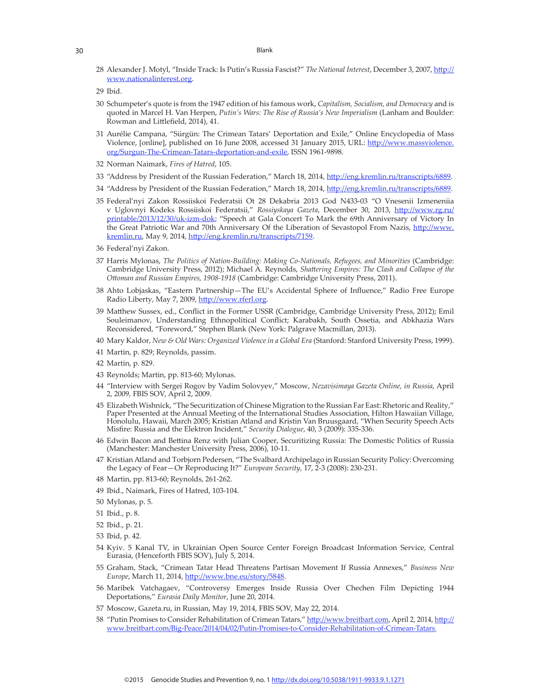28 Alexander J. Motyl, "Inside Track: Is Putin's Russia Fascist?" *The National Interest*, December 3, 2007, http:// www.nationalinterest.org.

- 30 Schumpeter's quote is from the 1947 edition of his famous work, *Capitalism, Socialism, and Democracy* and is quoted in Marcel H. Van Herpen, *Putin's Wars: The Rise of Russia's New Imperialism* (Lanham and Boulder: Rowman and Littlefield, 2014), 41.
- 31 Aurélie Campana, "Sürgün: The Crimean Tatars' Deportation and Exile," Online Encyclopedia of Mass Violence, [online], published on 16 June 2008, accessed 31 January 2015, URL: http://www.massviolence. org/Surgun-The-Crimean-Tatars-deportation-and-exile, ISSN 1961-9898.
- 32 Norman Naimark, *Fires of Hatred*, 105.
- 33 "Address by President of the Russian Federation," March 18, 2014, http://eng.kremlin.ru/transcripts/6889.
- 34 "Address by President of the Russian Federation," March 18, 2014, http://eng.kremlin.ru/transcripts/6889.
- 35 Federal'nyi Zakon Rossiiskoi Federatsii Ot 28 Dekabria 2013 God N433-03 "O Vnesenii Izmeneniia v Uglovnyi Kodeks Rossiiskoi Federatsii," *Rossiyskaya Gazeta*, December 30, 2013, http://www.rg.ru/ printable/2013/12/30/uk-izm-dok; "Speech at Gala Concert To Mark the 69th Anniversary of Victory In the Great Patriotic War and 70th Anniversary Of the Liberation of Sevastopol From Nazis, http://www. kremlin.ru, May 9, 2014, http://eng.kremlin.ru/transcripts/7159.
- 36 Federal'nyi Zakon.
- 37 Harris Mylonas, *The Politics of Nation-Building: Making Co-Nationals, Refugees, and Minorities* (Cambridge: Cambridge University Press, 2012); Michael A. Reynolds, *Shattering Empires: The Clash and Collapse of the Ottoman and Russian Empires, 1908-1918* (Cambridge: Cambridge University Press, 2011).
- 38 Ahto Lobjaskas, "Eastern Partnership—The EU's Accidental Sphere of Influence," Radio Free Europe Radio Liberty, May 7, 2009, http://www.rferl.org
- 39 Matthew Sussex, ed., Conflict in the Former USSR (Cambridge, Cambridge University Press, 2012); Emil Souleimanov, Understanding Ethnopolitical Conflict; Karabakh, South Ossetia, and Abkhazia Wars Reconsidered, "Foreword," Stephen Blank (New York: Palgrave Macmillan, 2013).
- 40 Mary Kaldor, *New & Old Wars: Organized Violence in a Global Era* (Stanford: Stanford University Press, 1999).
- 41 Martin, p. 829; Reynolds, passim.
- 42 Martin, p. 829.
- 43 Reynolds; Martin, pp. 813-60; Mylonas.
- 44 "Interview with Sergei Rogov by Vadim Solovyev," Moscow, *Nezavisimaya Gazeta Online, in Russia*, April 2, 2009, FBIS SOV, April 2, 2009.
- 45 Elizabeth Wishnick, "The Securitization of Chinese Migration to the Russian Far East: Rhetoric and Reality," Paper Presented at the Annual Meeting of the International Studies Association, Hilton Hawaiian Village, Honolulu, Hawaii, March 2005; Kristian Atland and Kristin Van Bruusgaard, "When Security Speech Acts Misfire: Russia and the Elektron Incident," *Security Dialogue*, 40, 3 (2009): 335-336.
- 46 Edwin Bacon and Bettina Renz with Julian Cooper, Securitizing Russia: The Domestic Politics of Russia (Manchester: Manchester University Press, 2006), 10-11.
- 47 Kristian Atland and Torbjorn Pedersen, "The Svalbard Archipelago in Russian Security Policy: Overcoming the Legacy of Fear—Or Reproducing It?" *European Security*, 17, 2-3 (2008): 230-231.
- 48 Martin, pp. 813-60; Reynolds, 261-262.
- 49 Ibid., Naimark, Fires of Hatred, 103-104.
- 50 Mylonas, p. 5.
- 51 Ibid., p. 8.
- 52 Ibid., p. 21.
- 53 Ibid, p. 42.
- 54 Kyiv. 5 Kanal TV, in Ukrainian Open Source Center Foreign Broadcast Information Service, Central Eurasia, (Henceforth FBIS SOV), July 5, 2014.
- 55 Graham, Stack, "Crimean Tatar Head Threatens Partisan Movement If Russia Annexes," *Business New Europe*, March 11, 2014, http://www.bne.eu/story/5848.
- 56 Maribek Vatchagaev, "Controversy Emerges Inside Russia Over Chechen Film Depicting 1944 Deportations," *Eurasia Daily Monitor*, June 20, 2014.
- 57 Moscow, Gazeta.ru, in Russian, May 19, 2014, FBIS SOV, May 22, 2014.
- 58 "Putin Promises to Consider Rehabilitation of Crimean Tatars," http://www.breitbart.com, April 2, 2014, http:// www.breitbart.com/Big-Peace/2014/04/02/Putin-Promises-to-Consider-Rehabilitation-of-Crimean-Tatars.

<sup>29</sup> Ibid.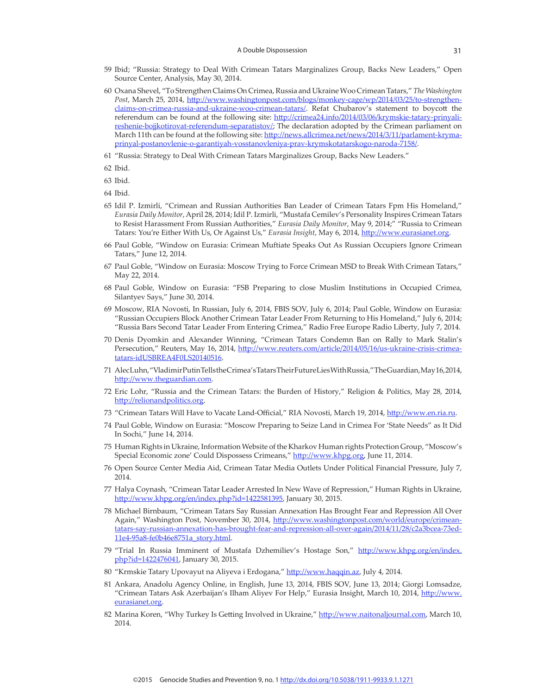- 59 Ibid; "Russia: Strategy to Deal With Crimean Tatars Marginalizes Group, Backs New Leaders," Open Source Center, Analysis, May 30, 2014.
- 60 Oxana Shevel, "To Strengthen Claims On Crimea, Russia and Ukraine Woo Crimean Tatars," *The Washington Post*, March 25, 2014, http://www.washingtonpost.com/blogs/monkey-cage/wp/2014/03/25/to-strengthenclaims-on-crimea-russia-and-ukraine-woo-crimean-tatars/. Refat Chubarov's statement to boycott the referendum can be found at the following site: http://crimea24.info/2014/03/06/krymskie-tatary-prinyalireshenie-bojjkotirovat-referendum-separatistov/; The declaration adopted by the Crimean parliament on March 11th can be found at the following site: http://news.allcrimea.net/news/2014/3/11/parlament-krymaprinyal-postanovlenie-o-garantiyah-vosstanovleniya-prav-krymskotatarskogo-naroda-7158/.
- 61 "Russia: Strategy to Deal With Crimean Tatars Marginalizes Group, Backs New Leaders."
- 62 Ibid.
- 63 Ibid.
- 64 Ibid.
- 65 Idil P. Izmirli, "Crimean and Russian Authorities Ban Leader of Crimean Tatars Fpm His Homeland," *Eurasia Daily Monitor*, April 28, 2014; Idil P. Izmirli, "Mustafa Cemilev's Personality Inspires Crimean Tatars to Resist Harassment From Russian Authorities," *Eurasia Daily Monitor*, May 9, 2014;" "Russia to Crimean Tatars: You're Either With Us, Or Against Us," *Eurasia Insight*, May 6, 2014, http://www.eurasianet.org.
- 66 Paul Goble, "Window on Eurasia: Crimean Muftiate Speaks Out As Russian Occupiers Ignore Crimean Tatars," June 12, 2014.
- 67 Paul Goble, "Window on Eurasia: Moscow Trying to Force Crimean MSD to Break With Crimean Tatars," May 22, 2014.
- 68 Paul Goble, Window on Eurasia: "FSB Preparing to close Muslim Institutions in Occupied Crimea, Silantyev Says," June 30, 2014.
- 69 Moscow, RIA Novosti, In Russian, July 6, 2014, FBIS SOV, July 6, 2014; Paul Goble, Window on Eurasia: "Russian Occupiers Block Another Crimean Tatar Leader From Returning to His Homeland," July 6, 2014; "Russia Bars Second Tatar Leader From Entering Crimea," Radio Free Europe Radio Liberty, July 7, 2014.
- 70 Denis Dyomkin and Alexander Winning, "Crimean Tatars Condemn Ban on Rally to Mark Stalin's Persecution," Reuters, May 16, 2014, http://www.reuters.com/article/2014/05/16/us-ukraine-crisis-crimeatatars-idUSBREA4F0LS20140516.
- 71 Alec Luhn, "Vladimir Putin Tells the Crimea's Tatars Their Future Lies With Russia," The Guardian, May 16, 2014, http://www.theguardian.com.
- 72 Eric Lohr, "Russia and the Crimean Tatars: the Burden of History," Religion & Politics, May 28, 2014, http://relionandpolitics.org.
- 73 "Crimean Tatars Will Have to Vacate Land-Official," RIA Novosti, March 19, 2014, http://www.en.ria.ru.
- 74 Paul Goble, Window on Eurasia: "Moscow Preparing to Seize Land in Crimea For 'State Needs" as It Did In Sochi," June 14, 2014.
- 75 Human Rights in Ukraine, Information Website of the Kharkov Human rights Protection Group, "Moscow's Special Economic zone' Could Dispossess Crimeans," http://www.khpg.org, June 11, 2014.
- 76 Open Source Center Media Aid, Crimean Tatar Media Outlets Under Political Financial Pressure, July 7, 2014.
- 77 Halya Coynash, "Crimean Tatar Leader Arrested In New Wave of Repression," Human Rights in Ukraine, http://www.khpg.org/en/index.php?id=1422581395, January 30, 2015.
- 78 Michael Birnbaum, "Crimean Tatars Say Russian Annexation Has Brought Fear and Repression All Over Again," Washington Post, November 30, 2014, http://www.washingtonpost.com/world/europe/crimeantatars-say-russian-annexation-has-brought-fear-and-repression-all-over-again/2014/11/28/c2a3bcea-73ed-11e4-95a8-fe0b46e8751a\_story.html.
- 79 "Trial In Russia Imminent of Mustafa Dzhemiliev's Hostage Son," http://www.khpg.org/en/index. php?id=1422476041, January 30, 2015.
- 80 "Krmskie Tatary Upovayut na Aliyeva i Erdogana," http://www.haqqin.az, July 4, 2014.
- 81 Ankara, Anadolu Agency Online, in English, June 13, 2014, FBIS SOV, June 13, 2014; Giorgi Lomsadze, "Crimean Tatars Ask Azerbaijan's Ilham Aliyev For Help," Eurasia Insight, March 10, 2014, http://www. eurasianet.org.
- 82 Marina Koren, "Why Turkey Is Getting Involved in Ukraine," http://www.naitonaljournal.com, March 10, 2014.